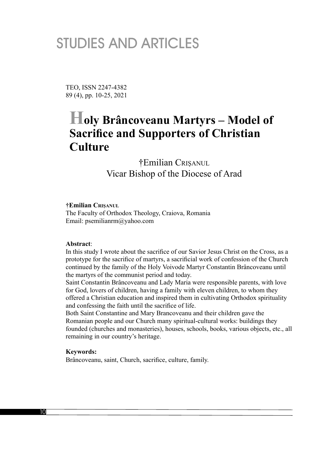# STUDIES AND ARTICLES

TEO, ISSN 2247-4382 89 (4), pp. 10-25, 2021

## **Holy Brâncoveanu Martyrs – Model of Sacrifice and Supporters of Christian Culture**

†Emilian CRIŞANUL Vicar Bishop of the Diocese of Arad

**†Emilian CRIŞANUL**

The Faculty of Orthodox Theology, Craiova, Romania Email: psemilianrm@yahoo.com

#### **Abstract**:

In this study I wrote about the sacrifice of our Savior Jesus Christ on the Cross, as a prototype for the sacrifice of martyrs, a sacrificial work of confession of the Church continued by the family of the Holy Voivode Martyr Constantin Brâncoveanu until the martyrs of the communist period and today.

Saint Constantin Brâncoveanu and Lady Maria were responsible parents, with love for God, lovers of children, having a family with eleven children, to whom they offered a Christian education and inspired them in cultivating Orthodox spirituality and confessing the faith until the sacrifice of life.

Both Saint Constantine and Mary Brancoveanu and their children gave the Romanian people and our Church many spiritual-cultural works: buildings they founded (churches and monasteries), houses, schools, books, various objects, etc., all remaining in our country's heritage.

#### **Keywords:**

Brâncoveanu, saint, Church, sacrifice, culture, family.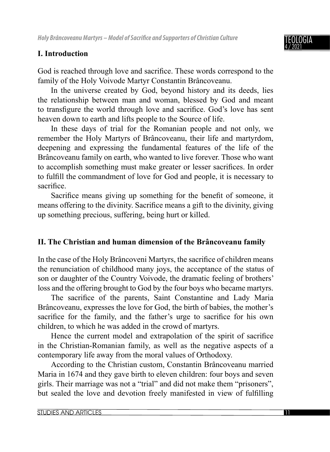## **I. Introduction**

God is reached through love and sacrifice. These words correspond to the family of the Holy Voivode Martyr Constantin Brâncoveanu.

In the universe created by God, beyond history and its deeds, lies the relationship between man and woman, blessed by God and meant to transfigure the world through love and sacrifice. God's love has sent heaven down to earth and lifts people to the Source of life.

In these days of trial for the Romanian people and not only, we remember the Holy Martyrs of Brâncoveanu, their life and martyrdom, deepening and expressing the fundamental features of the life of the Brâncoveanu family on earth, who wanted to live forever. Those who want to accomplish something must make greater or lesser sacrifices. In order to fulfill the commandment of love for God and people, it is necessary to sacrifice.

Sacrifice means giving up something for the benefit of someone, it means offering to the divinity. Sacrifice means a gift to the divinity, giving up something precious, suffering, being hurt or killed.

## **II. The Christian and human dimension of the Brâncoveanu family**

In the case of the Holy Brâncoveni Martyrs, the sacrifice of children means the renunciation of childhood many joys, the acceptance of the status of son or daughter of the Country Voivode, the dramatic feeling of brothers' loss and the offering brought to God by the four boys who became martyrs.

The sacrifice of the parents, Saint Constantine and Lady Maria Brâncoveanu, expresses the love for God, the birth of babies, the mother's sacrifice for the family, and the father's urge to sacrifice for his own children, to which he was added in the crowd of martyrs.

Hence the current model and extrapolation of the spirit of sacrifice in the Christian-Romanian family, as well as the negative aspects of a contemporary life away from the moral values of Orthodoxy.

According to the Christian custom, Constantin Brâncoveanu married Maria in 1674 and they gave birth to eleven children: four boys and seven girls. Their marriage was not a "trial" and did not make them "prisoners", but sealed the love and devotion freely manifested in view of fulfilling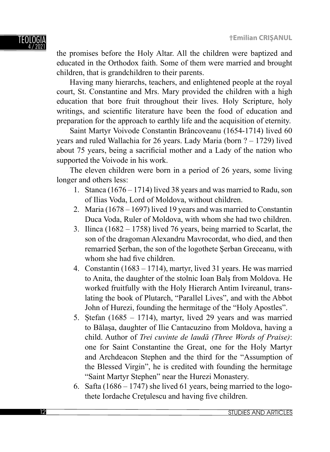

the promises before the Holy Altar. All the children were baptized and educated in the Orthodox faith. Some of them were married and brought children, that is grandchildren to their parents.

Having many hierarchs, teachers, and enlightened people at the royal court, St. Constantine and Mrs. Mary provided the children with a high education that bore fruit throughout their lives. Holy Scripture, holy writings, and scientific literature have been the food of education and preparation for the approach to earthly life and the acquisition of eternity.

Saint Martyr Voivode Constantin Brâncoveanu (1654-1714) lived 60 years and ruled Wallachia for 26 years. Lady Maria (born ? – 1729) lived about 75 years, being a sacrificial mother and a Lady of the nation who supported the Voivode in his work.

The eleven children were born in a period of 26 years, some living longer and others less:

- 1. Stanca (1676 1714) lived 38 years and was married to Radu, son of Ilias Voda, Lord of Moldova, without children.
- 2. Maria (1678 1697) lived 19 years and was married to Constantin Duca Voda, Ruler of Moldova, with whom she had two children.
- 3. Ilinca (1682 1758) lived 76 years, being married to Scarlat, the son of the dragoman Alexandru Mavrocordat, who died, and then remarried Șerban, the son of the logothete Șerban Greceanu, with whom she had five children.
- 4. Constantin (1683 1714), martyr, lived 31 years. He was married to Anita, the daughter of the stolnic Ioan Balş from Moldova. He worked fruitfully with the Holy Hierarch Antim Ivireanul, translating the book of Plutarch, "Parallel Lives", and with the Abbot John of Hurezi, founding the hermitage of the "Holy Apostles".
- 5. Ștefan (1685 1714), martyr, lived 29 years and was married to Bălașa, daughter of Ilie Cantacuzino from Moldova, having a child. Author of *Trei cuvinte de laudă (Three Words of Praise)*: one for Saint Constantine the Great, one for the Holy Martyr and Archdeacon Stephen and the third for the "Assumption of the Blessed Virgin", he is credited with founding the hermitage "Saint Martyr Stephen" near the Hurezi Monastery.
- 6. Safta (1686 1747) she lived 61 years, being married to the logothete Iordache Crețulescu and having five children.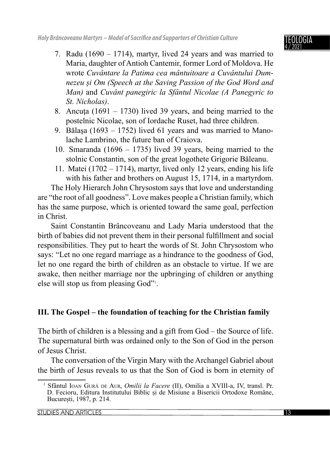- 7. Radu (1690 1714), martyr, lived 24 years and was married to Maria, daughter of Antioh Cantemir, former Lord of Moldova. He wrote *Cuvântare la Patima cea mântuitoare a Cuvântului Dumnezeu și Om (Speech at the Saving Passion of the God Word and Man)* and *Cuvânt panegiric la Sfântul Nicolae (A Panegyric to St. Nicholas)*.
- 8. Ancuta (1691 1730) lived 39 years, and being married to the postelnic Nicolae, son of Iordache Ruset, had three children.
- 9. Bălaşa (1693 1752) lived 61 years and was married to Manolache Lambrino, the future ban of Craiova.
- 10. Smaranda (1696 1735) lived 39 years, being married to the stolnic Constantin, son of the great logothete Grigorie Băleanu.
- 11. Matei (1702 1714), martyr, lived only 12 years, ending his life with his father and brothers on August 15, 1714, in a martyrdom.

The Holy Hierarch John Chrysostom says that love and understanding are "the root of all goodness". Love makes people a Christian family, which has the same purpose, which is oriented toward the same goal, perfection in Christ.

Saint Constantin Brâncoveanu and Lady Maria understood that the birth of babies did not prevent them in their personal fulfillment and social responsibilities. They put to heart the words of St. John Chrysostom who says: "Let no one regard marriage as a hindrance to the goodness of God, let no one regard the birth of children as an obstacle to virtue. If we are awake, then neither marriage nor the upbringing of children or anything else will stop us from pleasing God"<sup>1</sup>.

### **III. The Gospel – the foundation of teaching for the Christian family**

The birth of children is a blessing and a gift from God – the Source of life. The supernatural birth was ordained only to the Son of God in the person of Jesus Christ.

The conversation of the Virgin Mary with the Archangel Gabriel about the birth of Jesus reveals to us that the Son of God is born in eternity of

<sup>1</sup> Sfântul IOAN GUR<sup>Ă</sup> DE AUR, *Omilii la Facere* (II), Omilia a XVIII-a, IV, transl. Pr. D. Fecioru, Editura Institutului Biblic și de Misiune a Bisericii Ortodoxe Române, București, 1987, p. 214.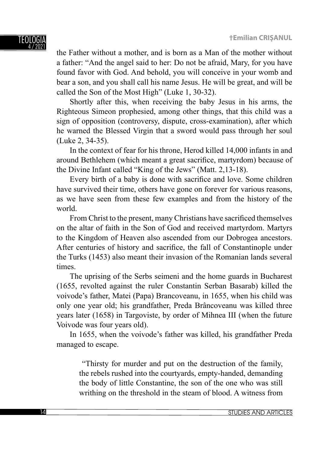the Father without a mother, and is born as a Man of the mother without a father: "And the angel said to her: Do not be afraid, Mary, for you have found favor with God. And behold, you will conceive in your womb and bear a son, and you shall call his name Jesus. He will be great, and will be called the Son of the Most High" (Luke 1, 30-32).

Shortly after this, when receiving the baby Jesus in his arms, the Righteous Simeon prophesied, among other things, that this child was a sign of opposition (controversy, dispute, cross-examination), after which he warned the Blessed Virgin that a sword would pass through her soul (Luke 2, 34-35).

In the context of fear for his throne, Herod killed 14,000 infants in and around Bethlehem (which meant a great sacrifice, martyrdom) because of the Divine Infant called "King of the Jews" (Matt. 2,13-18).

Every birth of a baby is done with sacrifice and love. Some children have survived their time, others have gone on forever for various reasons, as we have seen from these few examples and from the history of the world.

From Christ to the present, many Christians have sacrificed themselves on the altar of faith in the Son of God and received martyrdom. Martyrs to the Kingdom of Heaven also ascended from our Dobrogea ancestors. After centuries of history and sacrifice, the fall of Constantinople under the Turks (1453) also meant their invasion of the Romanian lands several times.

The uprising of the Serbs seimeni and the home guards in Bucharest (1655, revolted against the ruler Constantin Serban Basarab) killed the voivode's father, Matei (Papa) Brancoveanu, in 1655, when his child was only one year old; his grandfather, Preda Brâncoveanu was killed three years later (1658) in Targoviste, by order of Mihnea III (when the future Voivode was four years old).

In 1655, when the voivode's father was killed, his grandfather Preda managed to escape.

 "Thirsty for murder and put on the destruction of the family, the rebels rushed into the courtyards, empty-handed, demanding the body of little Constantine, the son of the one who was still writhing on the threshold in the steam of blood. A witness from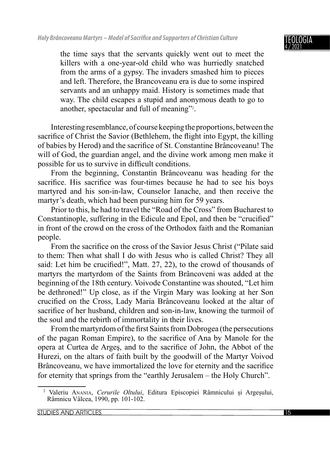the time says that the servants quickly went out to meet the killers with a one-year-old child who was hurriedly snatched from the arms of a gypsy. The invaders smashed him to pieces and left. Therefore, the Brancoveanu era is due to some inspired servants and an unhappy maid. History is sometimes made that way. The child escapes a stupid and anonymous death to go to another, spectacular and full of meaning"<sup>2</sup>.

Interesting resemblance, of course keeping the proportions, between the sacrifice of Christ the Savior (Bethlehem, the flight into Egypt, the killing of babies by Herod) and the sacrifice of St. Constantine Brâncoveanu! The will of God, the guardian angel, and the divine work among men make it possible for us to survive in difficult conditions.

From the beginning, Constantin Brâncoveanu was heading for the sacrifice. His sacrifice was four-times because he had to see his boys martyred and his son-in-law, Counselor Ianache, and then receive the martyr's death, which had been pursuing him for 59 years.

Prior to this, he had to travel the "Road of the Cross" from Bucharest to Constantinople, suffering in the Edicule and Epol, and then be "crucified" in front of the crowd on the cross of the Orthodox faith and the Romanian people.

From the sacrifice on the cross of the Savior Jesus Christ ("Pilate said") to them: Then what shall I do with Jesus who is called Christ? They all said: Let him be crucified!", Matt. 27, 22), to the crowd of thousands of martyrs the martyrdom of the Saints from Brâncoveni was added at the beginning of the 18th century. Voivode Constantine was shouted, "Let him be dethroned!" Up close, as if the Virgin Mary was looking at her Son crucified on the Cross, Lady Maria Brâncoveanu looked at the altar of sacrifice of her husband, children and son-in-law, knowing the turmoil of the soul and the rebirth of immortality in their lives.

From the martyrdom of the first Saints from Dobrogea (the persecutions of the pagan Roman Empire), to the sacrifice of Ana by Manole for the opera at Curtea de Arges, and to the sacrifice of John, the Abbot of the Hurezi, on the altars of faith built by the goodwill of the Martyr Voivod Brâncoveanu, we have immortalized the love for eternity and the sacrifice for eternity that springs from the "earthly Jerusalem – the Holy Church".

<sup>2</sup> Valeriu ANANIA, *Cerurile Oltului*, Editura Episcopiei Râmnicului și Argeșului, Râmnicu Vâlcea, 1990, pp. 101-102.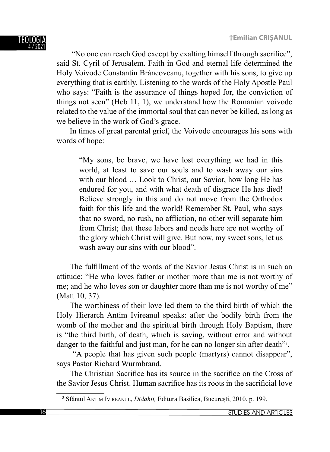"No one can reach God except by exalting himself through sacrifice", said St. Cyril of Jerusalem. Faith in God and eternal life determined the Holy Voivode Constantin Brâncoveanu, together with his sons, to give up everything that is earthly. Listening to the words of the Holy Apostle Paul who says: "Faith is the assurance of things hoped for, the conviction of things not seen" (Heb 11, 1), we understand how the Romanian voivode related to the value of the immortal soul that can never be killed, as long as we believe in the work of God's grace.

In times of great parental grief, the Voivode encourages his sons with words of hope:

"My sons, be brave, we have lost everything we had in this world, at least to save our souls and to wash away our sins with our blood ... Look to Christ, our Savior, how long He has endured for you, and with what death of disgrace He has died! Believe strongly in this and do not move from the Orthodox faith for this life and the world! Remember St. Paul, who says that no sword, no rush, no affliction, no other will separate him from Christ; that these labors and needs here are not worthy of the glory which Christ will give. But now, my sweet sons, let us wash away our sins with our blood".

The fulfillment of the words of the Savior Jesus Christ is in such an attitude: "He who loves father or mother more than me is not worthy of me; and he who loves son or daughter more than me is not worthy of me" (Matt 10, 37).

The worthiness of their love led them to the third birth of which the Holy Hierarch Antim Ivireanul speaks: after the bodily birth from the womb of the mother and the spiritual birth through Holy Baptism, there is "the third birth, of death, which is saving, without error and without danger to the faithful and just man, for he can no longer sin after death"<sup>3</sup>.

 "A people that has given such people (martyrs) cannot disappear", says Pastor Richard Wurmbrand.

The Christian Sacrifice has its source in the sacrifice on the Cross of the Savior Jesus Christ. Human sacrifice has its roots in the sacrificial love

<sup>3</sup> Sfântul ANTIM IVIREANUL, *Didahii,* Editura Basilica, București, 2010, p. 199.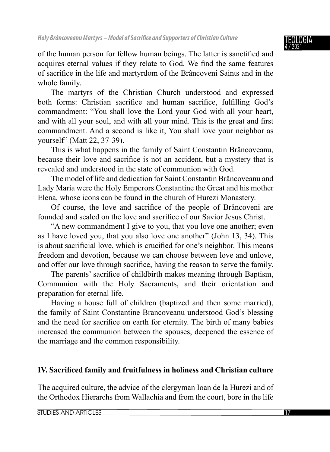of the human person for fellow human beings. The latter is sanctified and acquires eternal values if they relate to God. We find the same features of sacrifice in the life and martyrdom of the Brâncoveni Saints and in the whole family.

The martyrs of the Christian Church understood and expressed both forms: Christian sacrifice and human sacrifice, fulfilling God's commandment: "You shall love the Lord your God with all your heart, and with all your soul, and with all your mind. This is the great and first commandment. And a second is like it, You shall love your neighbor as yourself" (Matt 22, 37-39).

This is what happens in the family of Saint Constantin Brâncoveanu, because their love and sacrifice is not an accident, but a mystery that is revealed and understood in the state of communion with God.

The model of life and dedication for Saint Constantin Brâncoveanu and Lady Maria were the Holy Emperors Constantine the Great and his mother Elena, whose icons can be found in the church of Hurezi Monastery.

Of course, the love and sacrifice of the people of Brâncoveni are founded and sealed on the love and sacrifice of our Savior Jesus Christ.

"A new commandment I give to you, that you love one another; even as I have loved you, that you also love one another" (John 13, 34). This is about sacrificial love, which is crucified for one's neighbor. This means freedom and devotion, because we can choose between love and unlove, and offer our love through sacrifice, having the reason to serve the family.

The parents' sacrifice of childbirth makes meaning through Baptism, Communion with the Holy Sacraments, and their orientation and preparation for eternal life.

Having a house full of children (baptized and then some married), the family of Saint Constantine Brancoveanu understood God's blessing and the need for sacrifice on earth for eternity. The birth of many babies increased the communion between the spouses, deepened the essence of the marriage and the common responsibility.

### **IV. Sacrificed family and fruitfulness in holiness and Christian culture**

The acquired culture, the advice of the clergyman Ioan de la Hurezi and of the Orthodox Hierarchs from Wallachia and from the court, bore in the life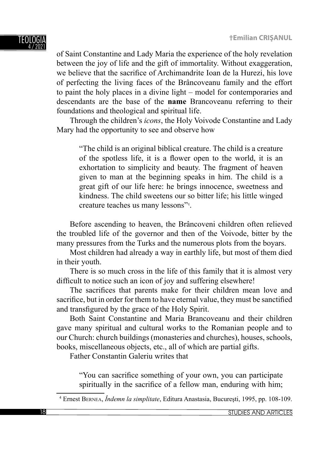#### TEOLOG 4 / 2021

of Saint Constantine and Lady Maria the experience of the holy revelation between the joy of life and the gift of immortality. Without exaggeration, we believe that the sacrifice of Archimandrite Ioan de la Hurezi, his love of perfecting the living faces of the Brâncoveanu family and the effort to paint the holy places in a divine light – model for contemporaries and descendants are the base of the **name** Brancoveanu referring to their foundations and theological and spiritual life.

Through the children's *icons*, the Holy Voivode Constantine and Lady Mary had the opportunity to see and observe how

"The child is an original biblical creature. The child is a creature of the spotless life, it is a flower open to the world, it is an exhortation to simplicity and beauty. The fragment of heaven given to man at the beginning speaks in him. The child is a great gift of our life here: he brings innocence, sweetness and kindness. The child sweetens our so bitter life; his little winged creature teaches us many lessons"<sup>4</sup> .

Before ascending to heaven, the Brâncoveni children often relieved the troubled life of the governor and then of the Voivode, bitter by the many pressures from the Turks and the numerous plots from the boyars.

Most children had already a way in earthly life, but most of them died in their youth.

There is so much cross in the life of this family that it is almost very difficult to notice such an icon of joy and suffering elsewhere!

The sacrifices that parents make for their children mean love and sacrifice, but in order for them to have eternal value, they must be sanctified and transfigured by the grace of the Holy Spirit.

Both Saint Constantine and Maria Brancoveanu and their children gave many spiritual and cultural works to the Romanian people and to our Church: church buildings (monasteries and churches), houses, schools, books, miscellaneous objects, etc., all of which are partial gifts.

Father Constantin Galeriu writes that

"You can sacrifice something of your own, you can participate spiritually in the sacrifice of a fellow man, enduring with him;

4 Ernest BERNEA, *Îndemn la simplitate*, Editura Anastasia, Bucureşti, 1995, pp. 108-109.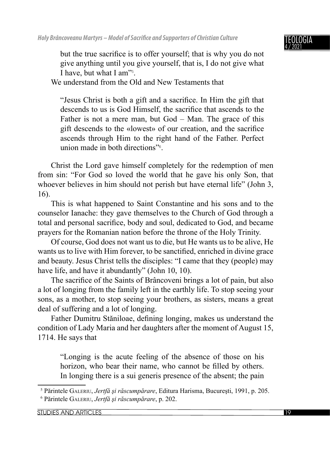

but the true sacrifice is to offer yourself; that is why you do not give anything until you give yourself, that is, I do not give what I have, but what I am"<sup>5</sup> .

We understand from the Old and New Testaments that

"Jesus Christ is both a gift and a sacrifice. In Him the gift that descends to us is God Himself, the sacrifice that ascends to the Father is not a mere man, but God – Man. The grace of this gift descends to the «lowest» of our creation, and the sacrifice ascends through Him to the right hand of the Father. Perfect union made in both directions"<sup>6</sup> .

Christ the Lord gave himself completely for the redemption of men from sin: "For God so loved the world that he gave his only Son, that whoever believes in him should not perish but have eternal life" (John 3, 16).

This is what happened to Saint Constantine and his sons and to the counselor Ianache: they gave themselves to the Church of God through a total and personal sacrifice, body and soul, dedicated to God, and became prayers for the Romanian nation before the throne of the Holy Trinity.

Of course, God does not want us to die, but He wants us to be alive, He wants us to live with Him forever, to be sanctified, enriched in divine grace and beauty. Jesus Christ tells the disciples: "I came that they (people) may have life, and have it abundantly" (John 10, 10).

The sacrifice of the Saints of Brâncoveni brings a lot of pain, but also a lot of longing from the family left in the earthly life. To stop seeing your sons, as a mother, to stop seeing your brothers, as sisters, means a great deal of suffering and a lot of longing.

Father Dumitru Stăniloae, defining longing, makes us understand the condition of Lady Maria and her daughters after the moment of August 15, 1714. He says that

"Longing is the acute feeling of the absence of those on his horizon, who bear their name, who cannot be filled by others. In longing there is a sui generis presence of the absent; the pain

<sup>5</sup> Părintele GALERIU, *Jertfă şi răscumpărare*, Editura Harisma, Bucureşti, 1991, p. 205. 6 Părintele GALERIU, *Jertfă şi răscumpărare*, p. 202.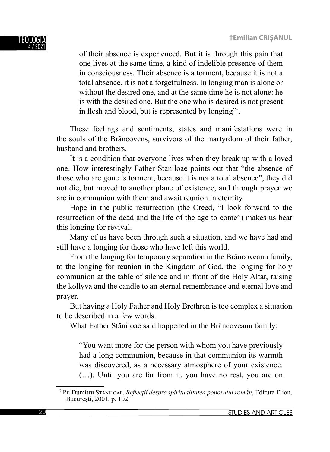

of their absence is experienced. But it is through this pain that one lives at the same time, a kind of indelible presence of them in consciousness. Their absence is a torment, because it is not a total absence, it is not a forgetfulness. In longing man is alone or without the desired one, and at the same time he is not alone: he is with the desired one. But the one who is desired is not present in flesh and blood, but is represented by longing"<sup>7</sup>.

These feelings and sentiments, states and manifestations were in the souls of the Brâncovens, survivors of the martyrdom of their father, husband and brothers.

It is a condition that everyone lives when they break up with a loved one. How interestingly Father Staniloae points out that "the absence of those who are gone is torment, because it is not a total absence", they did not die, but moved to another plane of existence, and through prayer we are in communion with them and await reunion in eternity.

Hope in the public resurrection (the Creed, "I look forward to the resurrection of the dead and the life of the age to come") makes us bear this longing for revival.

Many of us have been through such a situation, and we have had and still have a longing for those who have left this world.

From the longing for temporary separation in the Brâncoveanu family, to the longing for reunion in the Kingdom of God, the longing for holy communion at the table of silence and in front of the Holy Altar, raising the kollyva and the candle to an eternal remembrance and eternal love and prayer.

But having a Holy Father and Holy Brethren is too complex a situation to be described in a few words.

What Father Stăniloae said happened in the Brâncoveanu family:

"You want more for the person with whom you have previously had a long communion, because in that communion its warmth was discovered, as a necessary atmosphere of your existence. (…). Until you are far from it, you have no rest, you are on

<sup>&</sup>lt;sup>7</sup> Pr. Dumitru Stăniloae, *Reflecții despre spiritualitatea poporului român*, Editura Elion, Bucureşti, 2001, p. 102.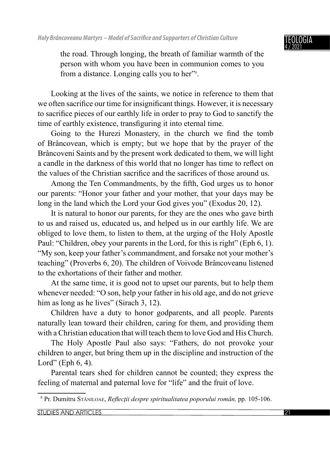

the road. Through longing, the breath of familiar warmth of the person with whom you have been in communion comes to you from a distance. Longing calls you to her"<sup>8</sup>.

Looking at the lives of the saints, we notice in reference to them that we often sacrifice our time for insignificant things. However, it is necessary to sacrifice pieces of our earthly life in order to pray to God to sanctify the time of earthly existence, transfiguring it into eternal time.

Going to the Hurezi Monastery, in the church we find the tomb of Brâncovean, which is empty; but we hope that by the prayer of the Brâncoveni Saints and by the present work dedicated to them, we will light a candle in the darkness of this world that no longer has time to reflect on the values of the Christian sacrifice and the sacrifices of those around us.

Among the Ten Commandments, by the fifth, God urges us to honor our parents: "Honor your father and your mother, that your days may be long in the land which the Lord your God gives you" (Exodus 20, 12).

It is natural to honor our parents, for they are the ones who gave birth to us and raised us, educated us, and helped us in our earthly life. We are obliged to love them, to listen to them, at the urging of the Holy Apostle Paul: "Children, obey your parents in the Lord, for this is right" (Eph 6, 1). "My son, keep your father's commandment, and forsake not your mother's teaching" (Proverbs 6, 20). The children of Voivode Brâncoveanu listened to the exhortations of their father and mother.

At the same time, it is good not to upset our parents, but to help them whenever needed: "O son, help your father in his old age, and do not grieve him as long as he lives" (Sirach 3, 12).

Children have a duty to honor godparents, and all people. Parents naturally lean toward their children, caring for them, and providing them with a Christian education that will teach them to love God and His Church.

The Holy Apostle Paul also says: "Fathers, do not provoke your children to anger, but bring them up in the discipline and instruction of the Lord" (Eph  $6, 4$ ).

Parental tears shed for children cannot be counted; they express the feeling of maternal and paternal love for "life" and the fruit of love.

<sup>&</sup>lt;sup>8</sup> Pr. Dumitru Stăniloae, *Reflecții despre spiritualitatea poporului român*, pp. 105-106.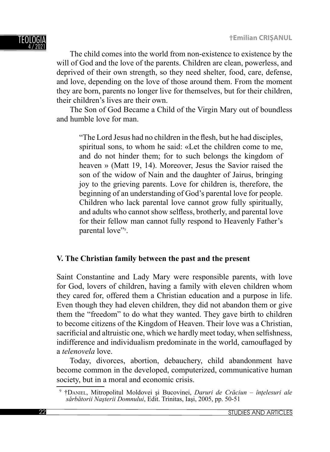The child comes into the world from non-existence to existence by the will of God and the love of the parents. Children are clean, powerless, and deprived of their own strength, so they need shelter, food, care, defense, and love, depending on the love of those around them. From the moment they are born, parents no longer live for themselves, but for their children, their children's lives are their own.

The Son of God Became a Child of the Virgin Mary out of boundless and humble love for man.

"The Lord Jesus had no children in the flesh, but he had disciples, spiritual sons, to whom he said: «Let the children come to me, and do not hinder them; for to such belongs the kingdom of heaven » (Matt 19, 14). Moreover, Jesus the Savior raised the son of the widow of Nain and the daughter of Jairus, bringing joy to the grieving parents. Love for children is, therefore, the beginning of an understanding of God's parental love for people. Children who lack parental love cannot grow fully spiritually, and adults who cannot show selfless, brotherly, and parental love for their fellow man cannot fully respond to Heavenly Father's parental love"<sup>9</sup>.

### **V. The Christian family between the past and the present**

Saint Constantine and Lady Mary were responsible parents, with love for God, lovers of children, having a family with eleven children whom they cared for, offered them a Christian education and a purpose in life. Even though they had eleven children, they did not abandon them or give them the "freedom" to do what they wanted. They gave birth to children to become citizens of the Kingdom of Heaven. Their love was a Christian, sacrificial and altruistic one, which we hardly meet today, when selfishness, indifference and individualism predominate in the world, camouflaged by a *telenovela* love.

Today, divorces, abortion, debauchery, child abandonment have become common in the developed, computerized, communicative human society, but in a moral and economic crisis.

<sup>9</sup> †DANIEL, Mitropolitul Moldovei şi Bucovinei, *Daruri de Crăciun – înţelesuri ale sărbătorii Naşterii Domnului*, Edit. Trinitas, Iaşi, 2005, pp. 50-51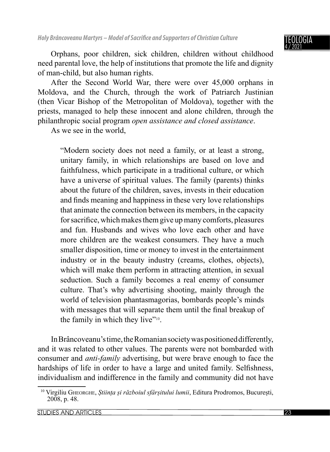#### IGIA 4 / 2021

Orphans, poor children, sick children, children without childhood need parental love, the help of institutions that promote the life and dignity of man-child, but also human rights.

After the Second World War, there were over 45,000 orphans in Moldova, and the Church, through the work of Patriarch Justinian (then Vicar Bishop of the Metropolitan of Moldova), together with the priests, managed to help these innocent and alone children, through the philanthropic social program *open assistance and closed assistance*.

As we see in the world,

"Modern society does not need a family, or at least a strong, unitary family, in which relationships are based on love and faithfulness, which participate in a traditional culture, or which have a universe of spiritual values. The family (parents) thinks about the future of the children, saves, invests in their education and finds meaning and happiness in these very love relationships that animate the connection between its members, in the capacity for sacrifice, which makes them give up many comforts, pleasures and fun. Husbands and wives who love each other and have more children are the weakest consumers. They have a much smaller disposition, time or money to invest in the entertainment industry or in the beauty industry (creams, clothes, objects), which will make them perform in attracting attention, in sexual seduction. Such a family becomes a real enemy of consumer culture. That's why advertising shooting, mainly through the world of television phantasmagorias, bombards people's minds with messages that will separate them until the final breakup of the family in which they live"<sup>10</sup>.

In Brâncoveanu's time, the Romanian society was positioned differently, and it was related to other values. The parents were not bombarded with consumer and *anti-family* advertising, but were brave enough to face the hardships of life in order to have a large and united family. Selfishness, individualism and indifference in the family and community did not have

<sup>10</sup> Virgiliu GHEORGHE, *Știința și războiul sfârșitului lumii*, Editura Prodromos, București, 2008, p. 48.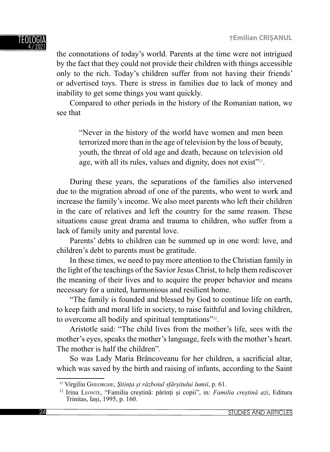the connotations of today's world. Parents at the time were not intrigued by the fact that they could not provide their children with things accessible only to the rich. Today's children suffer from not having their friends' or advertised toys. There is stress in families due to lack of money and inability to get some things you want quickly.

Compared to other periods in the history of the Romanian nation, we see that

"Never in the history of the world have women and men been terrorized more than in the age of television by the loss of beauty, youth, the threat of old age and death, because on television old age, with all its rules, values and dignity, does not exist<sup> $v_{11}$ </sup>.

During these years, the separations of the families also intervened due to the migration abroad of one of the parents, who went to work and increase the family's income. We also meet parents who left their children in the care of relatives and left the country for the same reason. These situations cause great drama and trauma to children, who suffer from a lack of family unity and parental love.

Parents' debts to children can be summed up in one word: love, and children's debt to parents must be gratitude.

In these times, we need to pay more attention to the Christian family in the light of the teachings of the Savior Jesus Christ, to help them rediscover the meaning of their lives and to acquire the proper behavior and means necessary for a united, harmonious and resilient home.

"The family is founded and blessed by God to continue life on earth, to keep faith and moral life in society, to raise faithful and loving children, to overcome all bodily and spiritual temptations"12.

Aristotle said: "The child lives from the mother's life, sees with the mother's eyes, speaks the mother's language, feels with the mother's heart. The mother is half the children".

So was Lady Maria Brâncoveanu for her children, a sacrificial altar, which was saved by the birth and raising of infants, according to the Saint

<sup>11</sup> Virgiliu GHEORGHE, *Știința și războiul sfârșitului lumii*, p. 61.

<sup>12</sup> Irina LEONTE, "Familia creștină: părinți și copii", in: *Familia creștină azi*, Editura Trinitas, Iași, 1995, p. 160.